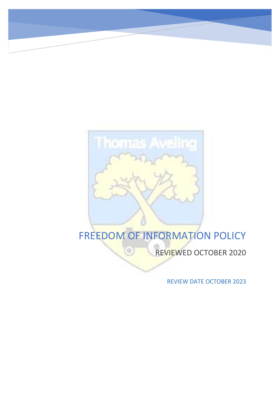# **Thomas Aveling**

G

# FREEDOM OF INFORMATION POLICY

REVIEWED OCTOBER 2020

REVIEW DATE OCTOBER 2023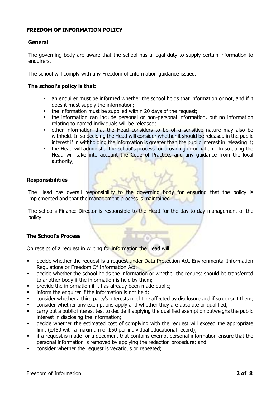# **FREEDOM OF INFORMATION POLICY**

# **General**

The governing body are aware that the school has a legal duty to supply certain information to enquirers.

The school will comply with any Freedom of Information guidance issued.

# **The school's policy is that:**

- an enquirer must be informed whether the school holds that information or not, and if it does it must supply the information;
- the information must be supplied within 20 days of the request;
- **•** the information can include personal or non-personal information, but no information relating to named individuals will be released;
- other information that the Head considers to be of a sensitive nature may also be withheld. In so deciding the Head will consider whether it should be released in the public interest if in withholding the information is greater than the public interest in releasing it;
- the Head will administer the school's process for providing information. In so doing the Head will take into account the Code of Practice, and any guidance from the local authority;

# **Responsibilities**

The Head has overall responsibility to the governing body for ensuring that the policy is implemented and that the management process is maintained.

The school's Finance Director is responsible to the Head for the day-to-day management of the policy.

# **The School's Process**

On receipt of a request in writing for information the Head will:

- **EXEDENT** decide whether the request is a request under Data Protection Act, Environmental Information Regulations or Freedom Of Information Act;
- decide whether the school holds the information or whether the request should be transferred to another body if the information is held by them;
- **•** provide the information if it has already been made public;
- **•** inform the enquirer if the information is not held;
- consider whether a third party's interests might be affected by disclosure and if so consult them;
- consider whether any exemptions apply and whether they are absolute or qualified;
- carry out a public interest test to decide if applying the qualified exemption outweighs the public interest in disclosing the information;
- **•** decide whether the estimated cost of complying with the request will exceed the appropriate limit (£450 with a maximum of £50 per individual educational record);
- **•** if a request is made for a document that contains exempt personal information ensure that the personal information is removed by applying the redaction procedure; and
- consider whether the request is vexatious or repeated;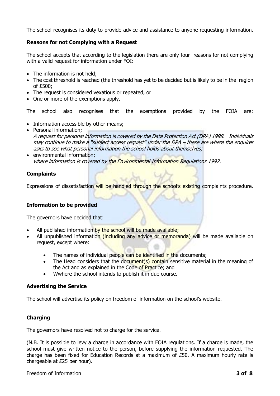The school recognises its duty to provide advice and assistance to anyone requesting information.

# **Reasons for not Complying with a Request**

The school accepts that according to the legislation there are only four reasons for not complying with a valid request for information under FOI:

- The information is not held:
- The cost threshold is reached (the threshold has yet to be decided but is likely to be in the region of £500;
- The request is considered vexatious or repeated, or
- One or more of the exemptions apply.

The school also recognises that the exemptions provided by the FOIA are:

- Information accessible by other means:
- Personal information; A request for personal information is covered by the Data Protection Act (DPA) 1998. Individuals may continue to make a "subject access request" under the DPA – these are where the enquirer asks to see what personal information the school holds about themselves;
- environmental information; where information is covered by the Environmental Information Regulations 1992.

# **Complaints**

Expressions of dissatisfaction will be handled through the school's existing complaints procedure.

# **Information to be provided**

The governors have decided that:

- All published information by the school will be made available;
- All unpublished information (including any advice or memoranda) will be made available on request, except where:
	- The names of individual people can be identified in the documents;
	- The Head considers that the document(s) contain sensitive material in the meaning of the Act and as explained in the Code of Practice; and
	- Wwhere the school intends to publish it in due course.

# **Advertising the Service**

The school will advertise its policy on freedom of information on the school's website.

# **Charging**

The governors have resolved not to charge for the service.

(N.B. It is possible to levy a charge in accordance with FOIA regulations. If a charge is made, the school must give written notice to the person, before supplying the information requested. The charge has been fixed for Education Records at a maximum of £50. A maximum hourly rate is chargeable at £25 per hour).

# Freedom of Information **3 of 8**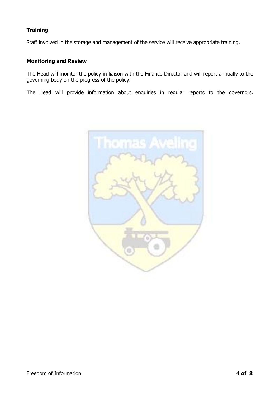# **Training**

Staff involved in the storage and management of the service will receive appropriate training.

# **Monitoring and Review**

The Head will monitor the policy in liaison with the Finance Director and will report annually to the governing body on the progress of the policy.

The Head will provide information about enquiries in regular reports to the governors.

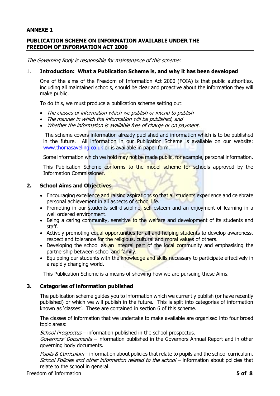# **ANNEXE 1**

# **PUBLICATION SCHEME ON INFORMATION AVAILABLE UNDER THE FREEDOM OF INFORMATION ACT 2000**

The Governing Body is responsible for maintenance of this scheme:

#### 1. **Introduction: What a Publication Scheme is, and why it has been developed**

One of the aims of the Freedom of Information Act 2000 (FOIA) is that public authorities, including all maintained schools, should be clear and proactive about the information they will make public.

To do this, we must produce a publication scheme setting out:

- The classes of information which we publish or intend to publish
- The manner in which the information will be published, and
- Whether the information is available free of charge or on payment.

The scheme covers information already published and information which is to be published in the future. All information in our Publication Scheme is available on our website: [www.thomasaveling.co.uk](http://www.thomasaveling.co.uk/) or is available in paper form.

Some information which we hold may not be made public, for example, personal information.

This Publication Scheme conforms to the model scheme for schools approved by the Information Commissioner.

# **2. School Aims and Objectives**

- Encouraging excellence and raising aspirations so that all students experience and celebrate personal achievement in all aspects of school life.
- Promoting in our students self-discipline, self-esteem and an enjoyment of learning in a well ordered environment.
- Being a caring community, sensitive to the welfare and development of its students and staff.
- Actively promoting equal opportunities for all and helping students to develop awareness, respect and tolerance for the religious, cultural and moral values of others.
- Developing the school as an integral part of the local community and emphasising the partnership between school and family.
- Equipping our students with the knowledge and skills necessary to participate effectively in a rapidly changing world.

This Publication Scheme is a means of showing how we are pursuing these Aims.

# **3. Categories of information published**

The publication scheme guides you to information which we currently publish (or have recently published) or which we will publish in the future. This is split into categories of information known as 'classes'. These are contained in section 6 of this scheme.

The classes of information that we undertake to make available are organised into four broad topic areas:

School Prospectus – information published in the school prospectus.

Governors' Documents – information published in the Governors Annual Report and in other governing body documents.

Pupils & Curriculum – information about policies that relate to pupils and the school curriculum. School Policies and other information related to the school – information about policies that relate to the school in general.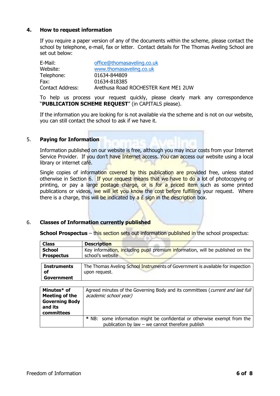# **4. How to request information**

If you require a paper version of any of the documents within the scheme, please contact the school by telephone, e-mail, fax or letter. Contact details for The Thomas Aveling School are set out below:

| E-Mail:                 | office@thomasaveling.co.uk           |
|-------------------------|--------------------------------------|
| Website:                | www.thomasaveling.co.uk              |
| Telephone:              | 01634-844809                         |
| Fax:                    | 01634-818385                         |
| <b>Contact Address:</b> | Arethusa Road ROCHESTER Kent ME1 2UW |

To help us process your request quickly, please clearly mark any correspondence "**PUBLICATION SCHEME REQUEST**" (in CAPITALS please).

If the information you are looking for is not available via the scheme and is not on our website, you can still contact the school to ask if we have it.

# 5. **Paying for Information**

Information published on our website is free, although you may incur costs from your Internet Service Provider. If you don't have Internet access. You can access our website using a local library or internet café.

Single copies of information covered by this publication are provided free, unless stated otherwise in Section 6. If your request means that we have to do a lot of photocopying or printing, or pay a large postage charge, or is for a priced item such as some printed publications or videos, we will let you know the cost before fulfilling your request. Where there is a charge, this will be indicated by  $a \, \pounds$  sign in the description box.

# 6. **Classes of Information currently published**

**School Prospectus** – this section sets out information published in the school prospectus:

| <b>Class</b>       | <b>Description</b>                                                              |
|--------------------|---------------------------------------------------------------------------------|
| <b>School</b>      | Key information, including pupil premium information, will be published on the  |
| <b>Prospectus</b>  | school's website                                                                |
|                    |                                                                                 |
| <b>Instruments</b> | The Thomas Aveling School Instruments of Government is available for inspection |
| of                 | upon request.                                                                   |
| Government         |                                                                                 |

| Minutes* of<br>Meeting of the                  | Agreed minutes of the Governing Body and its committees ( <i>current and last full</i><br>academic school year)                 |  |
|------------------------------------------------|---------------------------------------------------------------------------------------------------------------------------------|--|
| <b>Governing Body</b><br>and its<br>committees |                                                                                                                                 |  |
|                                                | * NB: some information might be confidential or otherwise exempt from the<br>publication by law $-$ we cannot therefore publish |  |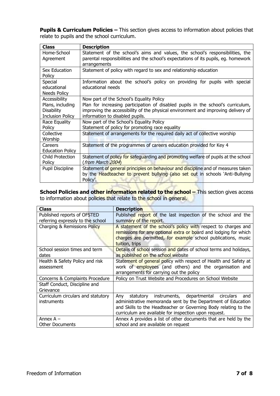**Pupils & Curriculum Policies –** This section gives access to information about policies that relate to pupils and the school curriculum.

| <b>Class</b>            | <b>Description</b>                                                                  |
|-------------------------|-------------------------------------------------------------------------------------|
| Home-School             | Statement of the school's aims and values, the school's responsibilities, the       |
| Agreement               | parental responsibilities and the school's expectations of its pupils, eg. homework |
|                         | arrangements                                                                        |
| Sex Education           | Statement of policy with regard to sex and relationship education                   |
| Policy                  |                                                                                     |
| Special                 | Information about the school's policy on providing for pupils with special          |
| educational             | educational needs                                                                   |
| <b>Needs Policy</b>     |                                                                                     |
| Accessibility           | Now part of the School's Equality Policy                                            |
| Plans, including        | Plan for increasing participation of disabled pupils in the school's curriculum,    |
| <b>Disability</b>       | improving the accessibility of the physical environment and improving delivery of   |
| <b>Inclusion Policy</b> | information to disabled pupils.                                                     |
| Race Equality           | Now part of the School's Equality Policy                                            |
| Policy                  | Statement of policy for promoting race equality                                     |
| Collective              | Statement of arrangements for the required daily act of collective worship          |
| Worship                 |                                                                                     |
| Careers                 | Statement of the programmes of careers education provided for Key 4                 |
| <b>Education Policy</b> |                                                                                     |
| Child Protection        | Statement of policy for safeguarding and promoting welfare of pupils at the school  |
| Policy                  | (from March 2004)                                                                   |
| Pupil Discipline        | Statement of general principles on behaviour and discipline and of measures taken   |
|                         | by the Headteacher to prevent bullying (also set out in schools `Anti-Bullying      |
|                         | Policy'.                                                                            |
|                         |                                                                                     |

**School Policies and other information related to the school - This section gives access** to information about policies that relate to the school in general.

| <b>Class</b>                                             | <b>Description</b>                                                                                                                                                                                                                                         |
|----------------------------------------------------------|------------------------------------------------------------------------------------------------------------------------------------------------------------------------------------------------------------------------------------------------------------|
| Published reports of OFSTED                              | Published report of the last inspection of the school and the                                                                                                                                                                                              |
| referring expressly to the school                        | summary of the report.                                                                                                                                                                                                                                     |
| Charging & Remissions Policy                             | A statement of the school's policy with respect to charges and<br>remissions for any optional extra or board and lodging for which<br>charges are permitted, for example school publications, music<br>tuition, trips                                      |
| School session times and term<br>dates                   | Details of school session and dates of school terms and holidays,<br>as published on the school website                                                                                                                                                    |
| Health & Safety Policy and risk                          | Statement of general policy with respect of Health and Safety at                                                                                                                                                                                           |
| assessment                                               | work of employees (and others) and the organisation and<br>arrangements for carrying out the policy                                                                                                                                                        |
| Concerns & Complaints Procedure                          | Policy on Trust Website and Procedures on School Website                                                                                                                                                                                                   |
| Staff Conduct, Discipline and                            |                                                                                                                                                                                                                                                            |
| Grievance                                                |                                                                                                                                                                                                                                                            |
| Curriculum circulars and statutory<br><i>instruments</i> | instruments, departmental circulars<br>Any<br>statutory<br>and<br>administrative memoranda sent by the Department of Education<br>and Skills to the Headteacher or Governing Body relating to the<br>curriculum are available for inspection upon request. |
| Annex $A -$                                              | Annex A provides a list of other documents that are held by the                                                                                                                                                                                            |
| <b>Other Documents</b>                                   | school and are available on request                                                                                                                                                                                                                        |